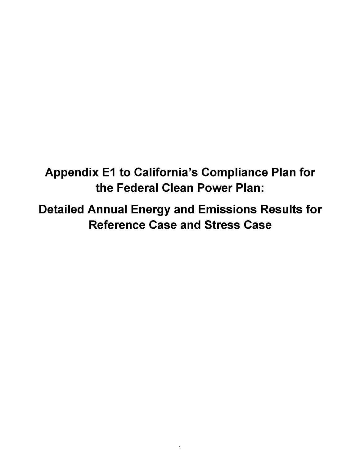**Appendix E1 to California's Compliance Plan for the Federal Clean Power Plan:**

**Detailed Annual Energy and Emissions Results for Reference Case and Stress Case**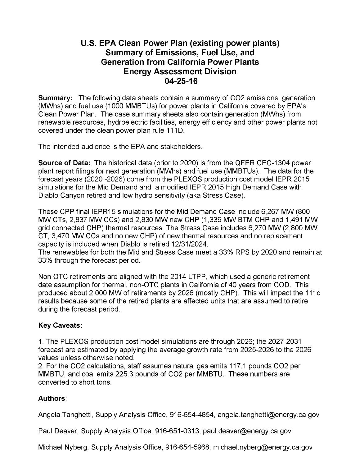## **U.S. EPA Clean Power Plan (existing power plants) Summary of Emissions, Fuel Use, and Generation from California Power Plants Energy Assessment Division 04-25-16**

**Summary:** The following data sheets contain a summary of CO2 emissions, generation (MWhs) and fuel use (1000 MMBTUs) for power plants in California covered by EPA's Clean Power Plan. The case summary sheets also contain generation (MWhs) from renewable resources, hydroelectric facilities, energy efficiency and other power plants not covered under the clean power plan rule 111D.

The intended audience is the EPA and stakeholders.

**Source of Data:** The historical data (prior to 2020) is from the QFER CEC-1304 power plant report filings for next generation (MWhs) and fuel use (MMBTUs). The data for the forecast years (2020 -2026) come from the PLEXOS production cost model IEPR 2015 simulations for the Mid Demand and a modified IEPR 2015 High Demand Case with Diablo Canyon retired and low hydro sensitivity (aka Stress Case).

These CPP final IEPR15 simulations for the Mid Demand Case include 6,267 MW (800 MW CTs, 2,837 MW CCs) and 2,830 MW new CHP (1,339 MW BTM CHP and 1,491 MW grid connected CHP) thermal resources. The Stress Case includes 6,270 MW (2,800 MW CT, 3,470 MW CCs and no new CHP) of new thermal resources and no replacement capacity is included when Diablo is retired 12/31/2024.

The renewables for both the Mid and Stress Case meet a 33% RPS by 2020 and remain at 33% through the forecast period.

Non OTC retirements are aligned with the 2014 LTPP, which used a generic retirement date assumption for thermal, non-OTC plants in California of 40 years from COD. This produced about 2,000 MW of retirements by 2026 (mostly CHP). This will impact the 111d results because some of the retired plants are affected units that are assumed to retire during the forecast period.

## **Key Caveats:**

1. The PLEXOS production cost model simulations are through 2026; the 2027-2031 forecast are estimated by applying the average growth rate from 2025-2026 to the 2026 values unless otherwise noted.

2. For the CO2 calculations, staff assumes natural gas emits 117.1 pounds CO2 per MMBTU, and coal emits 225.3 pounds of CO2 per MMBTU. These numbers are converted to short tons.

## **Authors**:

Angela Tanghetti, Supply Analysis Office, 916-654-4854, [angela.tanghetti@energy.ca.gov](mailto:angela.tanghetti@energy.ca.gov)

Paul Deaver, Supply Analysis Office, 916-651-0313, [paul.deaver@energy.ca.gov](mailto:paul.deaver@energy.ca.gov)

Michael Nyberg, Supply Analysis Office, 916-654-5968, 2 [michael.nyberg@energy.ca.gov](mailto:michael.nyberg@energy.ca.gov)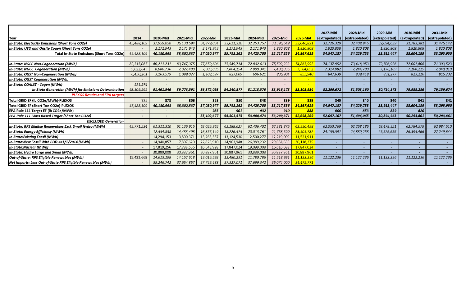|                                                              |                          |                          |                          |            |            |            |            |                         | 2027-Mid       | 2028-Mid       | 2029-Mid                 | 2030-Mid       | 2031-Mid       |
|--------------------------------------------------------------|--------------------------|--------------------------|--------------------------|------------|------------|------------|------------|-------------------------|----------------|----------------|--------------------------|----------------|----------------|
| Year                                                         | 2014                     | 2020-Mid                 | 2021-Mid                 | 2022-Mid   | 2023-Mid   | 2024-Mid   | 2025-Mid   | 2026-Mid                | (extrapolated) | (extrapolated) | (extrapolated)           | (extrapolated) | (extrapolated) |
| In-State: Electricity Emissions (Short Tons CO2e)            | 45,488,109               | 37,959,050               | 36,130,594               | 34,879,034 | 33,621,320 | 32,253,757 | 33,396,549 | <mark>33,046,821</mark> | 32,726,329     | 32,408,945     | 32,094,639               | 31,783,381     | 31,475,142     |
| In-State: UTO and Onsite Cogen (Short Tons CO2e)             |                          | 2,171,943                | 2,171,943                | 2,171,943  | 2,171,943  | 2,171,943  | 1,820,808  | 1,820,808               | 1,820,808      | 1,820,808      | 1,820,808                | 1,820,808      | 1,820,808      |
| <b>Total In-State Emissions (Short Tons CO2e)</b>            | 45,488,109               | 40,130,993               | 38,302,537               | 37,050,977 | 35,793,262 | 34,425,700 | 35,217,356 | 34,867,629              | 34,547,137     | 34,229,753     | 33,915,447               | 33,604,189     | 33,295,950     |
|                                                              |                          |                          |                          |            |            |            |            |                         |                |                |                          |                |                |
| n-State: NGCC Non-Cogeneration (MWh)                         | 82,315,087               | 80,211,231               | 80,747,075               | 77,859,606 | 75,549,714 | 72,802,613 | 75,592,233 | 74,863,992              | 74,137,952     | 73,418,953     | 72,706,926               | 72,001,806     | 71,303,523     |
| In-State: NGCC  Cogeneration (MWh)                           | 9,022,643                | 8,086,736                | 7,927,489                | 7,903,895  | 7,864,154  | 7,809,341  | 7,488,036  | 7,384,052               | 7,314,082      | 7,244,789      | 7,176,169                | 7,108,215      | 7,040,919      |
| In-State: OGST Non-Cogeneration (MWh)                        | 6,450,261                | 3,163,579                | 1,099,027                | 1,108,597  | 827,009    | 606,621    | 835,904    | 855,940                 | 847,639        | 839,418        | 831,277                  | 823,216        | 815,232        |
| In-State: OGST Cogeneration (MWh)                            |                          |                          |                          |            |            |            |            |                         |                |                |                          |                |                |
| In-State: COALST - Cogen (MWh)                               | 521,974                  | $\sim$                   |                          |            |            |            |            |                         |                |                |                          |                |                |
| In-State Generation (MWh) for Emissions Determination        | 98,309,965               | 91,461,546               | 89,773,591               | 86,872,098 | 84,240,87  | 81,218,576 | 83,916,173 | 83,103,984              | 82,299,672     | 81,503,160     | 80,714,373               | 79,933,236     | 79,159,674     |
| <b>PLEXOS Results and EPA targets</b>                        |                          |                          |                          |            |            |            |            |                         |                |                |                          |                |                |
| Total GRID EF (Ib CO2e/MWh)-PLEXOS                           | 925                      | 878                      | 853                      | 853        | 850        | 848        | 839        | 839                     | 840            | 840            | 840                      | 841            | 841            |
| Total GRID EF (Short Ton CO2e)-PLEXOS                        | 45,488,109               | 40,130,993               | 38,302,537               | 37,050,977 | 35,793,262 | 34,425,700 | 35,217,356 | 34,867,629              | 34,547,137     | 34,229,753     | 33,915,447               | 33,604,189     | 33,295,950     |
| EPA Rule 111 Target EF (Ib CO2e/MWh)                         |                          |                          |                          | 985        | 961        | 932        | 910        | 888                     | 866            | 853            | 839                      | 826            |                |
| EPA Rule 111 Mass Based Target (Short Ton CO2e)              | $\overline{\phantom{a}}$ | $\overline{\phantom{a}}$ | $\overline{\phantom{a}}$ | 55,102,677 | 54,501,575 | 53,900,473 | 53,299,371 | 52,698,269              | 52,097,167     | 51,496,065     | 50,894,963               | 50,293,861     | 50,293,861     |
| <b>EXCLUDED Generation</b>                                   |                          |                          |                          |            |            |            |            |                         |                |                |                          |                |                |
| n-State: RPS Eligible Renewables Excl. Small Hydro (MWh)     | 43,771,524               | 61,311,310               | 61,136,915               | 62,035,963 | 62,188,627 | 62,436,402 | 62,281,875 | 62,330,498              | 62,053,769     | 62,268,186     | 62,478,351               | 62,784,579     | 62,984,510     |
| n-State: Energy Efficiency (MWh)                             | $\overline{a}$           | 12,554,838               | 14,483,493               | 16,356,149 | 18,226,575 | 20,013,761 | 21,758,599 | 23,505,782              | 24,155,591     | 24,880,258     | 25,626,666               | 26,395,466     | 27,249,644     |
| n-State:Existing Fossil (MWh)                                | $\sim$                   | 14,294,153               | 13,800,371               | 13,265,567 | 13,124,530 | 12,500,277 | 12,219,009 | 11,521,911              |                |                |                          |                | $\sim 100$     |
| n-State:New Fossil With COD >=1/1/2014 (MWh)                 |                          | 14,940,857               | 17,807,620               | 22,823,910 | 24,963,948 | 26,989,232 | 29,634,635 | 30,118,375              |                |                |                          |                |                |
| n-State:Nuclear (MWh)                                        | $\sim$                   | 17,819,256               | 17,788,536               | 16,643,928 | 17,847,024 | 19,099,008 | 16,616,688 | 17,847,024              |                |                | $\overline{\phantom{0}}$ |                |                |
| n-State: Hydro Large and Small (MWh)                         |                          | 30,889,008               | 30,887,961               | 30,887,961 | 30,887,961 | 30,889,008 | 30,887,961 | 30,887,961              |                |                |                          |                | <b>Service</b> |
| Out-of-State: RPS Eligible Renewables (MWh)                  | 15,422,668               | 14,613,198               | 14, 152, 618             | 13,015,592 | 12,480,231 | 11,780,786 | 11,518,991 | 11,122,236              | 11,122,236     | 11,122,236     | 11,122,236               | 11,122,236     | 11,122,236     |
| Net Imports: Less Out-of-State RPS Eligible Renewables (MWh) |                          | 38.246.742               | 37,654,857               | 37,745,488 | 37,327,071 | 37,699,342 | 35.074.000 | 34.475.771              |                |                |                          |                |                |